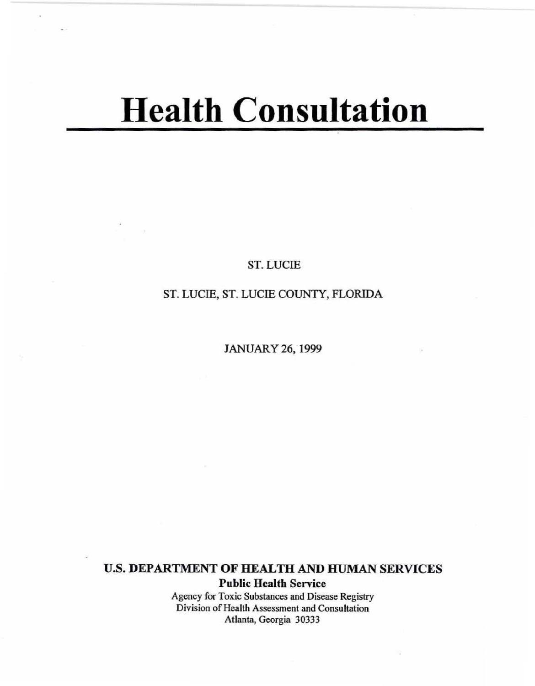# **Health Consultation**

ST. LUCIE

# ST. LUCIE, ST. LUCIE COUNTY, FLORIDA

JANUARY 26, 1999

U.S. DEPARTMENT OF HEALTH AND HUMAN SERVICES

Public Health Service

**Agency for Toxic Substances and Disease Registry Division** of Health **Assessment and Consultation Atlanta, Georgia 30333**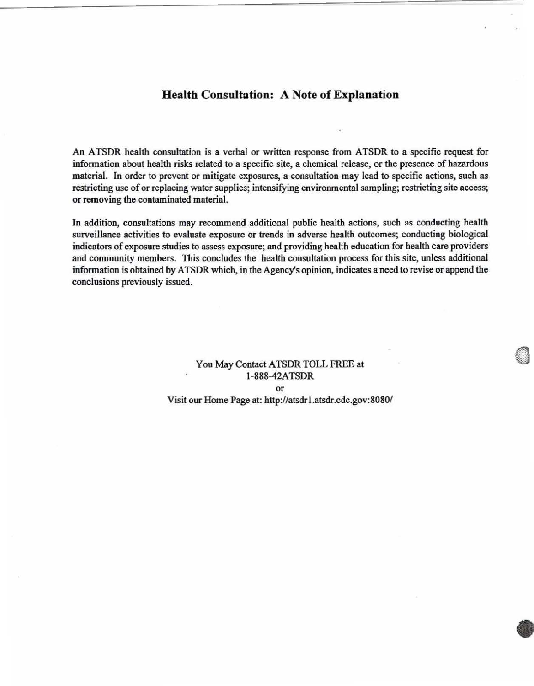## Health Consultation: A Note of Explanation

An ATSDR health consultation is a verbal or written response from ATSDR to a specific request for infonnation about health risks related to a specific site, a chemical release, or the presence of hazardous material. In order to prevent or mitigate exposures, a consultation may lead to specific actions, such as restricting use of or replacing water supplies; intensifying environmental sampling; restricting site access; or removing the contaminated material.

In addition, consultations may recommend additional public health actions, such as conducting health surveillance activities to evaluate exposure or trends in adverse health outcomes; conducting biological indicators of exposure studies to assess exposure; and providing health education for health care providers and community members. This concludes the health consultation process for this site, unless additional information is obtained by ATSDR which, in the Agency's opinion, indicates a need to revise or append the conclusions previously issued.

## You May Contact ATSDR TOLL FREE at 1-888-42A TSDR or Visit our Home Page at: http://atsdrl.atsdr.cdc.gov:8080/

•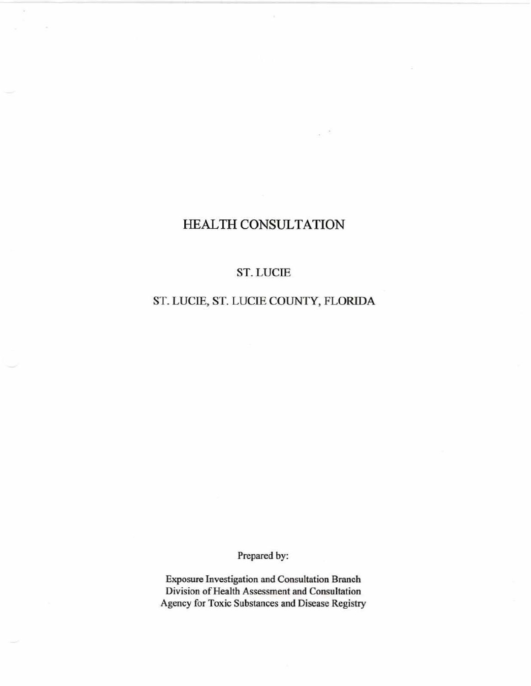## HEALTH CONSULTATION

×

## ST. LUCIE

## ST. LUCIE, ST. LUCIE COUNTY, FLORIDA

Prepared by:

**Exposure Investigation and Consultation Branch Division** of Health **Assessment and Consultation Agency for Toxic Substances and Disease Registry**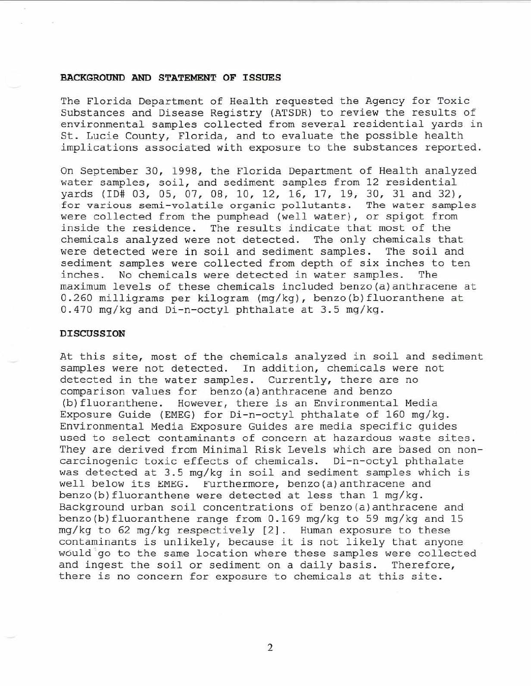#### BACKGROUND AND STATEMENT OF ISSUES

The Florida Department of Health requested the Agency for Toxic Substances and Disease Registry (ATSDR) to review the results of environmental samples collected from several residential yards in St. Lucie County, Florida, and to evaluate the possible health implications associated with exposure to the substances reported.

On September 30, 1998, the Florida Department of Health analyzed water samples, soil, and sediment samples from 12 residential yards (ID# 03, 05, 07, 08, 10, 12, 16, 17, 19, 30, 31 and 32), for various semi-volatile organic pollutants. The water samples were collected from the pumphead (well water), or spigot from inside the residence. The results indicate that most of the chemicals analyzed were not detected. The only chemicals that were detected were in soil and sediment samples. The soil and sediment samples were collected from depth of six inches to ten inches. No chemicals were detected in water samples. The maximum levels of these chemicals included benzo(a) anthracene at 0.260 milligrams per kilogram (mg/kg), benzo(b) fluoranthene at  $0.470$  mg/kg and Di-n-octyl phthalate at 3.5 mg/kg.

#### DISCUSSION

At this site, most of the chemicals analyzed in soil and sediment samples were not detected. In addition, chemicals were not detected in the water samples. Currently, there are no comparison values for benzo{a ) anthracene and benzo (b) fluoranthene. However, there is an Environmental Media Exposure Guide (EMEG) for Di-n-octyl phthalate of 160 mg/kg. Environmental Media Exposure Guides are media specific guides used to select contaminants of concern at hazardous waste sites. They are derived from Minimal Risk Levels which are based on noncarcinogenic toxic effects of chemicals. Di-n-octyl phthalate was detected at 3.5 mg/kg in soil and sediment samples which is well below its EMEG. Furthermore, benzo (a) anthracene and benzo{b)fluoranthene were detected at less than 1 mg/kg. Background urban soil concentrations of benzo{a)anthracene and benzo(b)fluoranthene range from  $0.169$  mg/kg to 59 mg/kg and 15 mg/kg to 62 mg/kg respectively [2] . Human exposure to these contaminants is unlikely, because it is not likely that anyone would go to the same location where these samples were collected and ingest the soil or sediment on a daily basis. Therefore, there is no concern for exposure to chemicals at this site .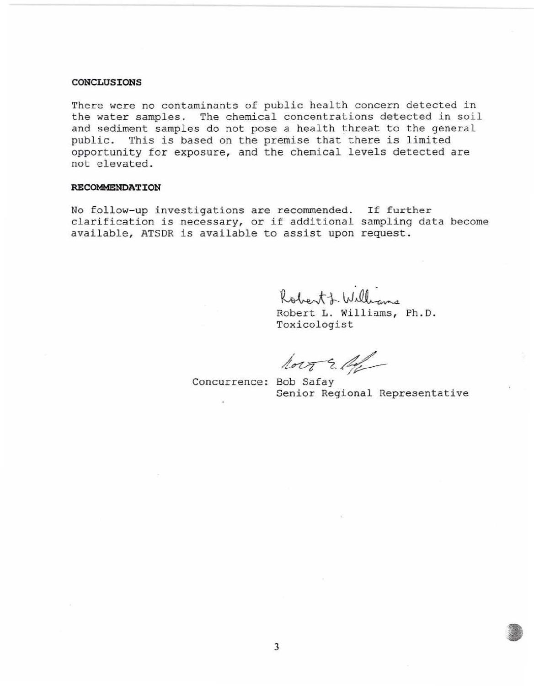#### CONCLUSIONS

There were no contaminants of public health concern detected in the water samples. The chemical concentrations detected in soil and sediment samples do not pose a health threat to the general public. This is based on the premise that there is limited opportunity for exposure, and the chemical levels detected are not elevated.

#### **RECOMMENDATION**

No follow-up investigations are recommended. If further NO IOIIOW up Investigations are recommended: If further<br>clarification is necessary, or if additional sampling data become available, ATSDR is available to assist upon request.

Robert J. Williams<br>Robert L. Williams, Ph.D.

To xicologist

 $\sqrt{2\pi}$  Concurrence: Bob Safay

Senior Regional Representative